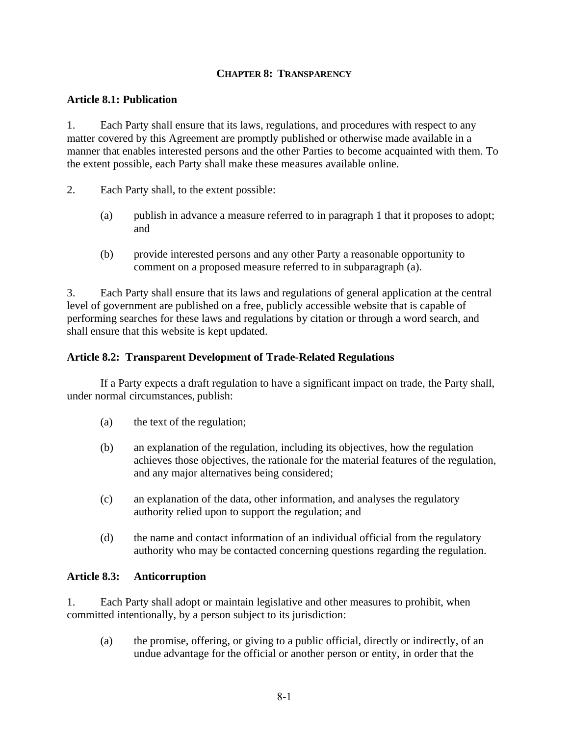# **CHAPTER 8: TRANSPARENCY**

## **Article 8.1: Publication**

1. Each Party shall ensure that its laws, regulations, and procedures with respect to any matter covered by this Agreement are promptly published or otherwise made available in a manner that enables interested persons and the other Parties to become acquainted with them. To the extent possible, each Party shall make these measures available online.

- 2. Each Party shall, to the extent possible:
	- (a) publish in advance a measure referred to in paragraph 1 that it proposes to adopt; and
	- (b) provide interested persons and any other Party a reasonable opportunity to comment on a proposed measure referred to in subparagraph (a).

3. Each Party shall ensure that its laws and regulations of general application at the central level of government are published on a free, publicly accessible website that is capable of performing searches for these laws and regulations by citation or through a word search, and shall ensure that this website is kept updated.

### **Article 8.2: Transparent Development of Trade-Related Regulations**

If a Party expects a draft regulation to have a significant impact on trade, the Party shall, under normal circumstances, publish:

- (a) the text of the regulation;
- (b) an explanation of the regulation, including its objectives, how the regulation achieves those objectives, the rationale for the material features of the regulation, and any major alternatives being considered;
- (c) an explanation of the data, other information, and analyses the regulatory authority relied upon to support the regulation; and
- (d) the name and contact information of an individual official from the regulatory authority who may be contacted concerning questions regarding the regulation.

### **Article 8.3: Anticorruption**

1. Each Party shall adopt or maintain legislative and other measures to prohibit, when committed intentionally, by a person subject to its jurisdiction:

(a) the promise, offering, or giving to a public official, directly or indirectly, of an undue advantage for the official or another person or entity, in order that the